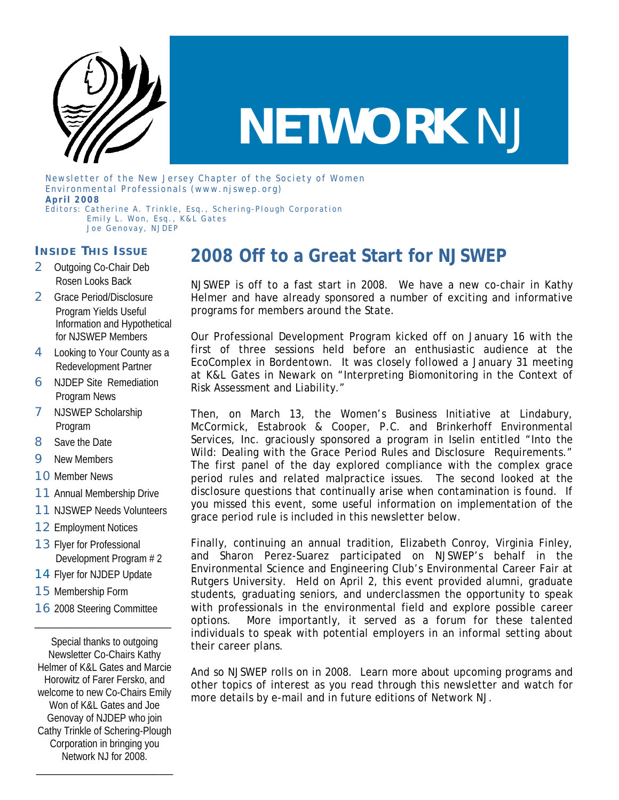

# **NETWORK** *NJ*

Newsletter of the New Jersey Chapter of the Society of Women Environmental Professionals (www.njswep.org) **April 2008**  Editors: Catherine A. Trinkle, Esq., Schering-Plough Corporation

 Emily L. Won, Esq., K&L Gates Joe Genovay, NJDEP

#### **I NSIDE T HIS I SSUE**

- 2 Outgoing Co-Chair Deb Rosen Looks Back
- 2 Grace Period/Disclosure Program Yields Useful Information and Hypothetical for NJSWEP Members
- 4 Looking to Your County as a Redevelopment Partner
- **6** NJDEP Site Remediation Program News
- **7** NJSWEP Scholarship Program
- 8 Save the Date
- **9** New Members
- 10 Member News
- 11 Annual Membership Drive
- **11 NJSWEP Needs Volunteers**
- 12 Employment Notices
- 13 Flyer for Professional Development Program # 2
- 14 Flyer for NJDEP Update
- 15 Membership Form
- **16** 2008 Steering Committee

\_\_\_\_\_\_\_\_\_\_\_\_\_\_\_\_\_\_\_\_\_\_\_\_\_\_\_

Special thanks to outgoing Newsletter Co-Chairs Kathy Helmer of K&L Gates and Marcie Horowitz of Farer Fersko, and welcome to new Co-Chairs Emily Won of K&L Gates and Joe Genovay of NJDEP who join Cathy Trinkle of Schering-Plough Corporation in bringing you Network NJ for 2008.

\_\_\_\_\_\_\_\_\_\_\_\_\_\_\_\_\_\_\_\_\_\_\_\_\_\_\_

## **2008 Off to a Great Start for NJSWEP**

NJSWEP is off to a fast start in 2008. We have a new co-chair in Kathy Helmer and have already sponsored a number of exciting and informative programs for members around the State.

Our Professional Development Program kicked off on January 16 with the first of three sessions held before an enthusiastic audience at the EcoComplex in Bordentown. It was closely followed a January 31 meeting at K&L Gates in Newark on "Interpreting Biomonitoring in the Context of Risk Assessment and Liability."

Then, on March 13, the Women's Business Initiative at Lindabury, McCormick, Estabrook & Cooper, P.C. and Brinkerhoff Environmental Services, Inc. graciously sponsored a program in Iselin entitled "Into the Wild: Dealing with the Grace Period Rules and Disclosure Requirements." The first panel of the day explored compliance with the complex grace period rules and related malpractice issues. The second looked at the disclosure questions that continually arise when contamination is found. If you missed this event, some useful information on implementation of the grace period rule is included in this newsletter below.

Finally, continuing an annual tradition, Elizabeth Conroy, Virginia Finley, and Sharon Perez-Suarez participated on NJSWEP's behalf in the Environmental Science and Engineering Club's Environmental Career Fair at Rutgers University. Held on April 2, this event provided alumni, graduate students, graduating seniors, and underclassmen the opportunity to speak with professionals in the environmental field and explore possible career options. More importantly, it served as a forum for these talented individuals to speak with potential employers in an informal setting about their career plans.

And so NJSWEP rolls on in 2008. Learn more about upcoming programs and other topics of interest as you read through this newsletter and watch for more details by e-mail and in future editions of Network NJ.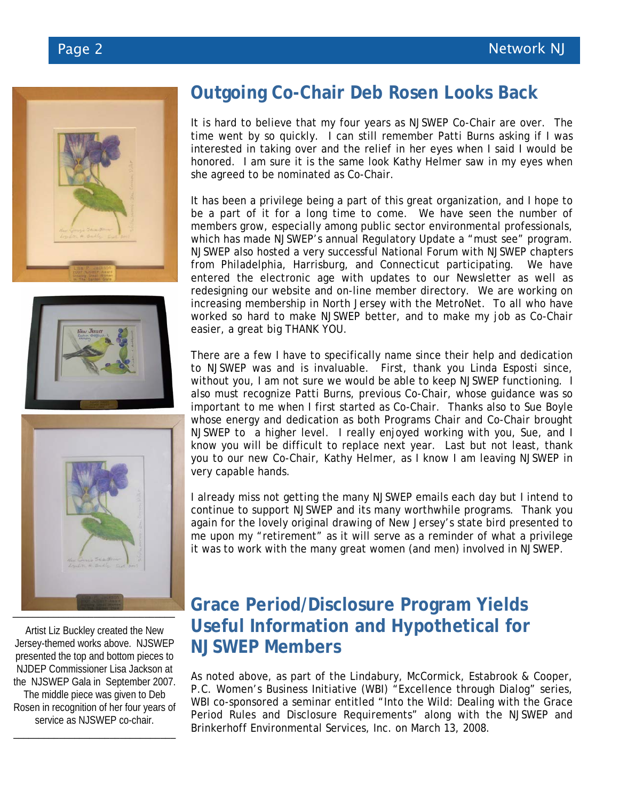





Artist Liz Buckley created the New Jersey-themed works above. NJSWEP presented the top and bottom pieces to NJDEP Commissioner Lisa Jackson at the NJSWEP Gala in September 2007. The middle piece was given to Deb Rosen in recognition of her four years of service as NJSWEP co-chair.

\_\_\_\_\_\_\_\_\_\_\_\_\_\_\_\_\_\_\_\_\_\_\_\_\_\_\_\_\_\_\_\_

## **Outgoing Co-Chair Deb Rosen Looks Back**

It is hard to believe that my four years as NJSWEP Co-Chair are over. The time went by so quickly. I can still remember Patti Burns asking if I was interested in taking over and the relief in her eyes when I said I would be honored. I am sure it is the same look Kathy Helmer saw in my eyes when she agreed to be nominated as Co-Chair.

It has been a privilege being a part of this great organization, and I hope to be a part of it for a long time to come. We have seen the number of members grow, especially among public sector environmental professionals, which has made NJSWEP's annual Regulatory Update a "must see" program. NJSWEP also hosted a very successful National Forum with NJSWEP chapters from Philadelphia, Harrisburg, and Connecticut participating. We have entered the electronic age with updates to our Newsletter as well as redesigning our website and on-line member directory. We are working on increasing membership in North Jersey with the MetroNet. To all who have worked so hard to make NJSWEP better, and to make my job as Co-Chair easier, a great big THANK YOU.

There are a few I have to specifically name since their help and dedication to NJSWEP was and is invaluable. First, thank you Linda Esposti since, without you, I am not sure we would be able to keep NJSWEP functioning. I also must recognize Patti Burns, previous Co-Chair, whose guidance was so important to me when I first started as Co-Chair. Thanks also to Sue Boyle whose energy and dedication as both Programs Chair and Co-Chair brought NJSWEP to a higher level. I really enjoyed working with you, Sue, and I know you will be difficult to replace next year. Last but not least, thank you to our new Co-Chair, Kathy Helmer, as I know I am leaving NJSWEP in very capable hands.

I already miss not getting the many NJSWEP emails each day but I intend to continue to support NJSWEP and its many worthwhile programs. Thank you again for the lovely original drawing of New Jersey's state bird presented to me upon my "retirement" as it will serve as a reminder of what a privilege it was to work with the many great women (and men) involved in NJSWEP.

### **Grace Period/Disclosure Program Yields Useful Information and Hypothetical for NJSWEP Members**

As noted above, as part of the Lindabury, McCormick, Estabrook & Cooper, P.C. Women's Business Initiative (WBI) "Excellence through Dialog" series, WBI co-sponsored a seminar entitled "Into the Wild: Dealing with the Grace Period Rules and Disclosure Requirements" along with the NJSWEP and Brinkerhoff Environmental Services, Inc. on March 13, 2008.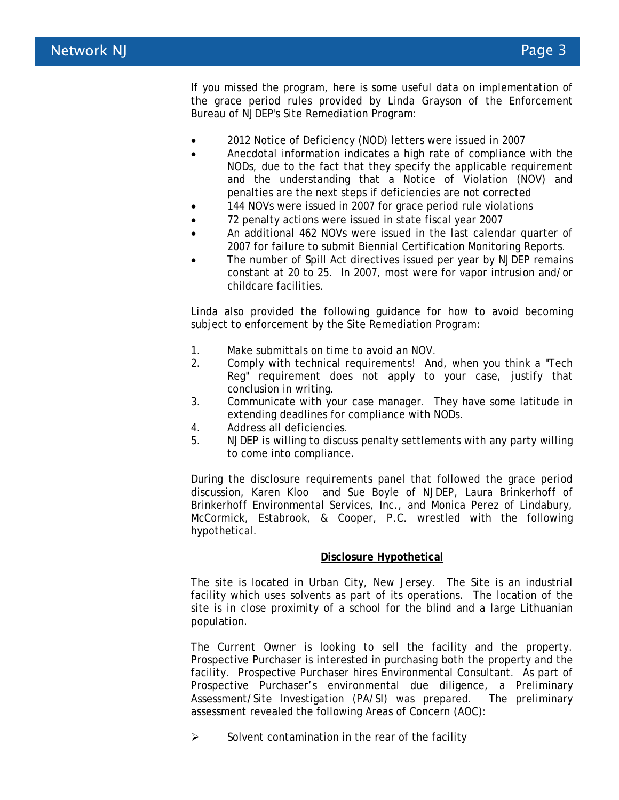If you missed the program, here is some useful data on implementation of the grace period rules provided by Linda Grayson of the Enforcement Bureau of NJDEP's Site Remediation Program:

- 2012 Notice of Deficiency (NOD) letters were issued in 2007
- Anecdotal information indicates a high rate of compliance with the NODs, due to the fact that they specify the applicable requirement and the understanding that a Notice of Violation (NOV) and penalties are the next steps if deficiencies are not corrected
- 144 NOVs were issued in 2007 for grace period rule violations
- 72 penalty actions were issued in state fiscal year 2007
- An additional 462 NOVs were issued in the last calendar quarter of 2007 for failure to submit Biennial Certification Monitoring Reports.
- The number of Spill Act directives issued per year by NJDEP remains constant at 20 to 25. In 2007, most were for vapor intrusion and/or childcare facilities.

Linda also provided the following guidance for how to avoid becoming subject to enforcement by the Site Remediation Program:

- 1. Make submittals on time to avoid an NOV.
- 2. Comply with technical requirements! And, when you think a "Tech Reg" requirement does not apply to your case, justify that conclusion in writing.
- 3. Communicate with your case manager. They have some latitude in extending deadlines for compliance with NODs.
- 4. Address all deficiencies.
- 5. NJDEP is willing to discuss penalty settlements with any party willing to come into compliance.

During the disclosure requirements panel that followed the grace period discussion, Karen Kloo and Sue Boyle of NJDEP, Laura Brinkerhoff of Brinkerhoff Environmental Services, Inc., and Monica Perez of Lindabury, McCormick, Estabrook, & Cooper, P.C. wrestled with the following hypothetical.

#### **Disclosure Hypothetical**

The site is located in Urban City, New Jersey. The Site is an industrial facility which uses solvents as part of its operations. The location of the site is in close proximity of a school for the blind and a large Lithuanian population.

The Current Owner is looking to sell the facility and the property. Prospective Purchaser is interested in purchasing both the property and the facility. Prospective Purchaser hires Environmental Consultant. As part of Prospective Purchaser's environmental due diligence, a Preliminary Assessment/Site Investigation (PA/SI) was prepared. The preliminary assessment revealed the following Areas of Concern (AOC):

 $\triangleright$  Solvent contamination in the rear of the facility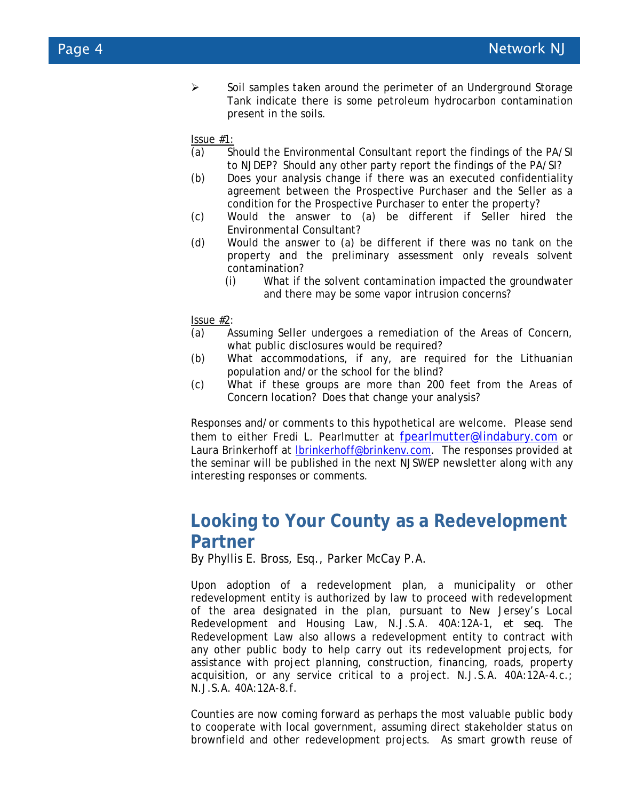$\triangleright$  Soil samples taken around the perimeter of an Underground Storage Tank indicate there is some petroleum hydrocarbon contamination present in the soils.

Issue #1:

- (a) Should the Environmental Consultant report the findings of the PA/SI to NJDEP? Should any other party report the findings of the PA/SI?
- (b) Does your analysis change if there was an executed confidentiality agreement between the Prospective Purchaser and the Seller as a condition for the Prospective Purchaser to enter the property?
- (c) Would the answer to (a) be different if Seller hired the Environmental Consultant?
- (d) Would the answer to (a) be different if there was no tank on the property and the preliminary assessment only reveals solvent contamination?
	- (i) What if the solvent contamination impacted the groundwater and there may be some vapor intrusion concerns?

Issue #2:

- (a) Assuming Seller undergoes a remediation of the Areas of Concern, what public disclosures would be required?
- (b) What accommodations, if any, are required for the Lithuanian population and/or the school for the blind?
- (c) What if these groups are more than 200 feet from the Areas of Concern location? Does that change your analysis?

Responses and/or comments to this hypothetical are welcome. Please send them to either Fredi L. Pearlmutter at fpearlmutter@lindabury.com or Laura Brinkerhoff at lbrinkerhoff@brinkenv.com. The responses provided at the seminar will be published in the next NJSWEP newsletter along with any interesting responses or comments.

#### **Looking to Your County as a Redevelopment Partner**

By Phyllis E. Bross, Esq., Parker McCay P.A.

Upon adoption of a redevelopment plan, a municipality or other redevelopment entity is authorized by law to proceed with redevelopment of the area designated in the plan, pursuant to New Jersey's Local Redevelopment and Housing Law, N.J.S.A. 40A:12A-1, *et seq.* The Redevelopment Law also allows a redevelopment entity to contract with any other public body to help carry out its redevelopment projects, for assistance with project planning, construction, financing, roads, property acquisition, or any service critical to a project. N.J.S.A. 40A:12A-4.c.; N.J.S.A. 40A:12A-8.f.

Counties are now coming forward as perhaps the most valuable public body to cooperate with local government, assuming direct stakeholder status on brownfield and other redevelopment projects. As smart growth reuse of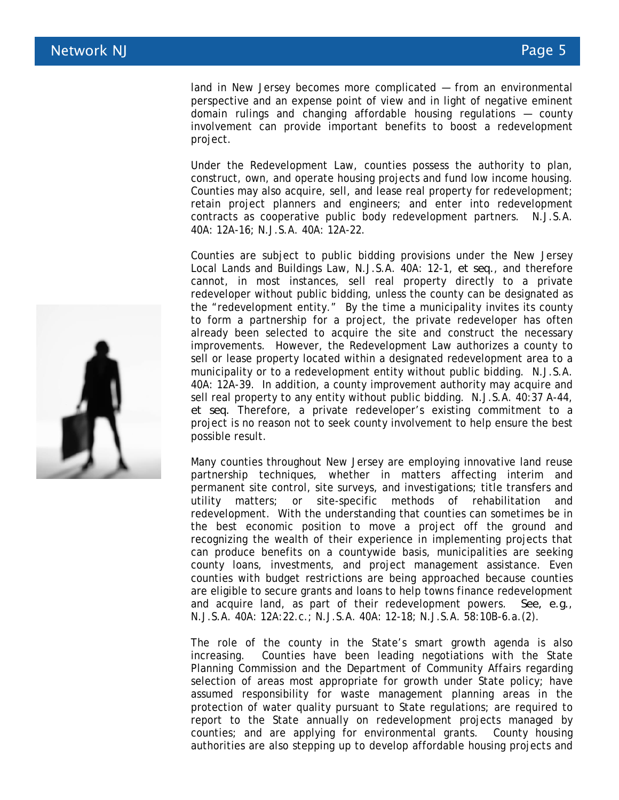land in New Jersey becomes more complicated — from an environmental perspective and an expense point of view and in light of negative eminent domain rulings and changing affordable housing regulations — county involvement can provide important benefits to boost a redevelopment project.

Under the Redevelopment Law, counties possess the authority to plan, construct, own, and operate housing projects and fund low income housing. Counties may also acquire, sell, and lease real property for redevelopment; retain project planners and engineers; and enter into redevelopment contracts as cooperative public body redevelopment partners. N.J.S.A. 40A: 12A-16; N.J.S.A. 40A: 12A-22.

Counties are subject to public bidding provisions under the New Jersey Local Lands and Buildings Law, N.J.S.A. 40A: 12-1, *et seq.*, and therefore cannot, in most instances, sell real property directly to a private redeveloper without public bidding, unless the county can be designated as the "redevelopment entity." By the time a municipality invites its county to form a partnership for a project, the private redeveloper has often already been selected to acquire the site and construct the necessary improvements. However, the Redevelopment Law authorizes a county to sell or lease property located within a designated redevelopment area to a municipality or to a redevelopment entity without public bidding. N.J.S.A. 40A: 12A-39. In addition, a county improvement authority may acquire and sell real property to any entity without public bidding. N.J.S.A. 40:37 A-44, *et seq.* Therefore, a private redeveloper's existing commitment to a project is no reason not to seek county involvement to help ensure the best possible result.

Many counties throughout New Jersey are employing innovative land reuse partnership techniques, whether in matters affecting interim and permanent site control, site surveys, and investigations; title transfers and utility matters; or site-specific methods of rehabilitation and redevelopment. With the understanding that counties can sometimes be in the best economic position to move a project off the ground and recognizing the wealth of their experience in implementing projects that can produce benefits on a countywide basis, municipalities are seeking county loans, investments, and project management assistance. Even counties with budget restrictions are being approached because counties are eligible to secure grants and loans to help towns finance redevelopment and acquire land, as part of their redevelopment powers. *See, e.g.*, N.J.S.A. 40A: 12A:22.c.; N.J.S.A. 40A: 12-18; N.J.S.A. 58:10B-6.a.(2).

The role of the county in the State's smart growth agenda is also increasing. Counties have been leading negotiations with the State Planning Commission and the Department of Community Affairs regarding selection of areas most appropriate for growth under State policy; have assumed responsibility for waste management planning areas in the protection of water quality pursuant to State regulations; are required to report to the State annually on redevelopment projects managed by counties; and are applying for environmental grants. County housing authorities are also stepping up to develop affordable housing projects and

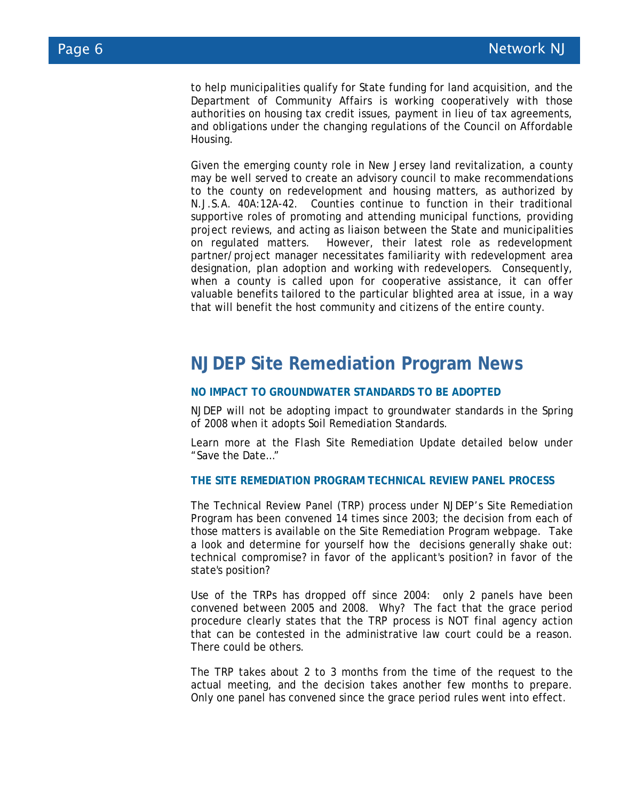to help municipalities qualify for State funding for land acquisition, and the Department of Community Affairs is working cooperatively with those authorities on housing tax credit issues, payment in lieu of tax agreements, and obligations under the changing regulations of the Council on Affordable Housing.

Given the emerging county role in New Jersey land revitalization, a county may be well served to create an advisory council to make recommendations to the county on redevelopment and housing matters, as authorized by N.J.S.A. 40A:12A-42. Counties continue to function in their traditional supportive roles of promoting and attending municipal functions, providing project reviews, and acting as liaison between the State and municipalities on regulated matters. However, their latest role as redevelopment partner/project manager necessitates familiarity with redevelopment area designation, plan adoption and working with redevelopers. Consequently, when a county is called upon for cooperative assistance, it can offer valuable benefits tailored to the particular blighted area at issue, in a way that will benefit the host community and citizens of the entire county.

#### **NJDEP Site Remediation Program News**

#### **NO IMPACT TO GROUNDWATER STANDARDS TO BE ADOPTED**

NJDEP will not be adopting impact to groundwater standards in the Spring of 2008 when it adopts Soil Remediation Standards.

Learn more at the Flash Site Remediation Update detailed below under "Save the Date…"

#### **THE SITE REMEDIATION PROGRAM TECHNICAL REVIEW PANEL PROCESS**

The Technical Review Panel (TRP) process under NJDEP's Site Remediation Program has been convened 14 times since 2003; the decision from each of those matters is available on the Site Remediation Program webpage. Take a look and determine for yourself how the decisions generally shake out: technical compromise? in favor of the applicant's position? in favor of the state's position?

Use of the TRPs has dropped off since 2004: only 2 panels have been convened between 2005 and 2008. Why? The fact that the grace period procedure clearly states that the TRP process is NOT final agency action that can be contested in the administrative law court could be a reason. There could be others.

The TRP takes about 2 to 3 months from the time of the request to the actual meeting, and the decision takes another few months to prepare. Only one panel has convened since the grace period rules went into effect.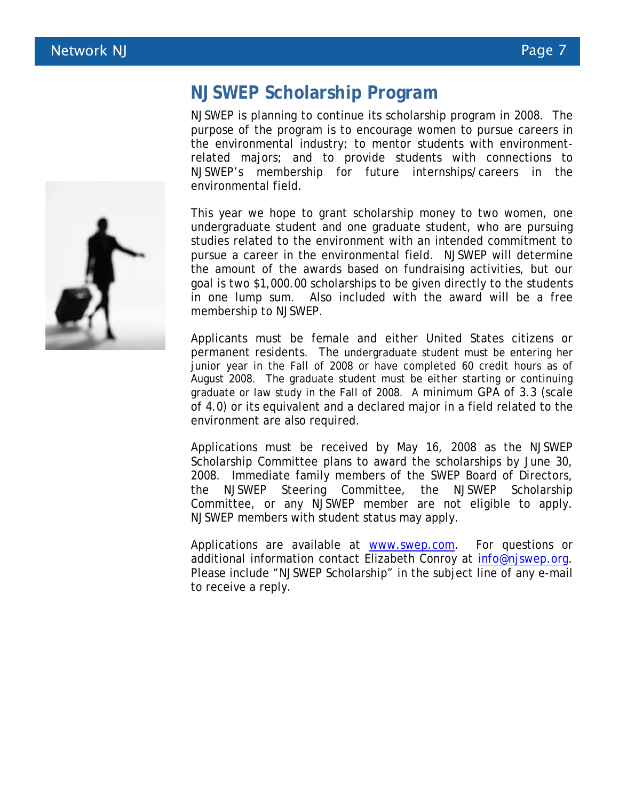

#### **NJSWEP Scholarship Program**

NJSWEP is planning to continue its scholarship program in 2008. The purpose of the program is to encourage women to pursue careers in the environmental industry; to mentor students with environmentrelated majors; and to provide students with connections to NJSWEP's membership for future internships/careers in the environmental field.

This year we hope to grant scholarship money to two women, one undergraduate student and one graduate student, who are pursuing studies related to the environment with an intended commitment to pursue a career in the environmental field. NJSWEP will determine the amount of the awards based on fundraising activities, but our goal is two \$1,000.00 scholarships to be given directly to the students in one lump sum. Also included with the award will be a free membership to NJSWEP.

Applicants must be female and either United States citizens or permanent residents. The undergraduate student must be entering her junior year in the Fall of 2008 or have completed 60 credit hours as of August 2008. The graduate student must be either starting or continuing graduate or law study in the Fall of 2008. A minimum GPA of 3.3 (scale of 4.0) or its equivalent and a declared major in a field related to the environment are also required.

Applications must be received by May 16, 2008 as the NJSWEP Scholarship Committee plans to award the scholarships by June 30, 2008. Immediate family members of the SWEP Board of Directors, the NJSWEP Steering Committee, the NJSWEP Scholarship Committee, or any NJSWEP member are not eligible to apply. NJSWEP members with student status may apply.

Applications are available at www.swep.com. For questions or additional information contact Elizabeth Conroy at info@njswep.org. Please include "NJSWEP Scholarship" in the subject line of any e-mail to receive a reply.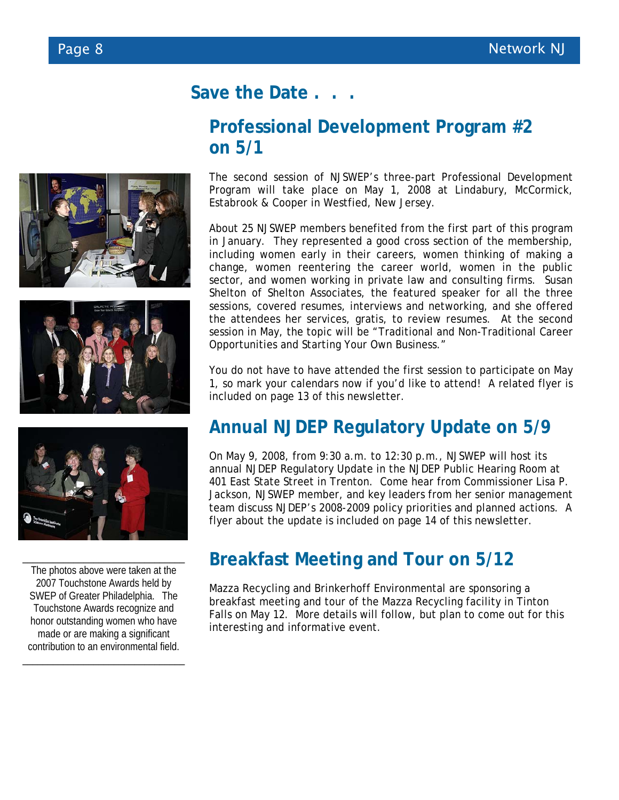## **Save the Date . . .**

## **Professional Development Program #2 on 5/1**

The second session of NJSWEP's three-part Professional Development Program will take place on May 1, 2008 at Lindabury, McCormick, Estabrook & Cooper in Westfied, New Jersey.

About 25 NJSWEP members benefited from the first part of this program in January. They represented a good cross section of the membership, including women early in their careers, women thinking of making a change, women reentering the career world, women in the public sector, and women working in private law and consulting firms. Susan Shelton of Shelton Associates, the featured speaker for all the three sessions, covered resumes, interviews and networking, and she offered the attendees her services, gratis, to review resumes. At the second session in May, the topic will be "Traditional and Non-Traditional Career Opportunities and Starting Your Own Business."

You do not have to have attended the first session to participate on May 1, so mark your calendars now if you'd like to attend! A related flyer is included on page 13 of this newsletter.

## **Annual NJDEP Regulatory Update on 5/9**

On May 9, 2008, from 9:30 a.m. to 12:30 p.m., NJSWEP will host its annual NJDEP Regulatory Update in the NJDEP Public Hearing Room at 401 East State Street in Trenton. Come hear from Commissioner Lisa P. Jackson, NJSWEP member, and key leaders from her senior management team discuss NJDEP's 2008-2009 policy priorities and planned actions. A flyer about the update is included on page 14 of this newsletter.

## **Breakfast Meeting and Tour on 5/12**

Mazza Recycling and Brinkerhoff Environmental are sponsoring a breakfast meeting and tour of the Mazza Recycling facility in Tinton Falls on May 12. More details will follow, but plan to come out for this interesting and informative event.







The photos above were taken at the 2007 Touchstone Awards held by SWEP of Greater Philadelphia. The Touchstone Awards recognize and honor outstanding women who have made or are making a significant contribution to an environmental field.

\_\_\_\_\_\_\_\_\_\_\_\_\_\_\_\_\_\_\_\_\_\_\_\_\_\_\_\_\_\_\_\_

\_\_\_\_\_\_\_\_\_\_\_\_\_\_\_\_\_\_\_\_\_\_\_\_\_\_\_\_\_\_\_\_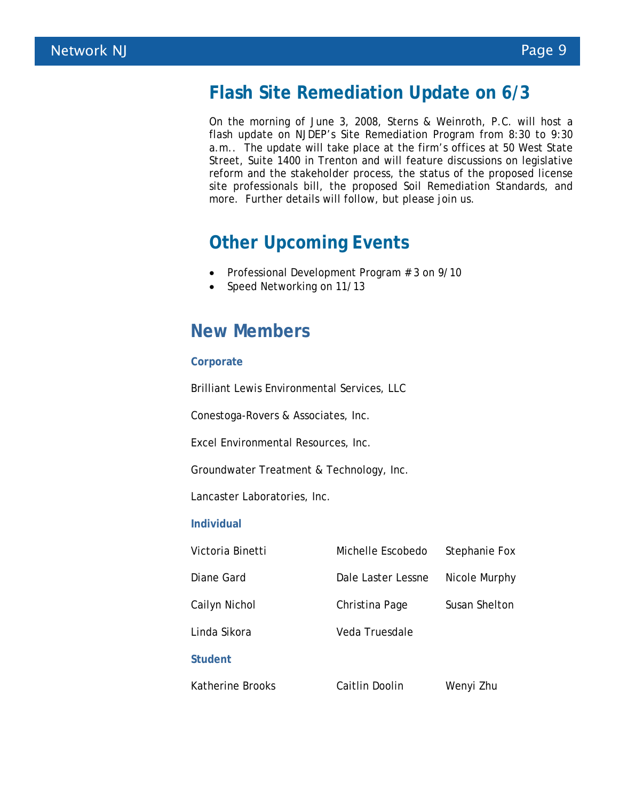### **Flash Site Remediation Update on 6/3**

On the morning of June 3, 2008, Sterns & Weinroth, P.C. will host a flash update on NJDEP's Site Remediation Program from 8:30 to 9:30 a.m.. The update will take place at the firm's offices at 50 West State Street, Suite 1400 in Trenton and will feature discussions on legislative reform and the stakeholder process, the status of the proposed license site professionals bill, the proposed Soil Remediation Standards, and more. Further details will follow, but please join us.

### **Other Upcoming Events**

- Professional Development Program # 3 on 9/10
- Speed Networking on 11/13

### **New Members**

#### **Corporate**

Brilliant Lewis Environmental Services, LLC

Conestoga-Rovers & Associates, Inc.

Excel Environmental Resources, Inc.

Groundwater Treatment & Technology, Inc.

Lancaster Laboratories, Inc.

#### **Individual**

| Victoria Binetti | Michelle Escobedo               | Stephanie Fox |
|------------------|---------------------------------|---------------|
| Diane Gard       | Dale Laster Lessne              | Nicole Murphy |
| Cailyn Nichol    | Susan Shelton<br>Christina Page |               |
| Linda Sikora     | Veda Truesdale                  |               |
| <b>Student</b>   |                                 |               |
| Katherine Brooks | Caitlin Doolin                  | Wenyi Zhu     |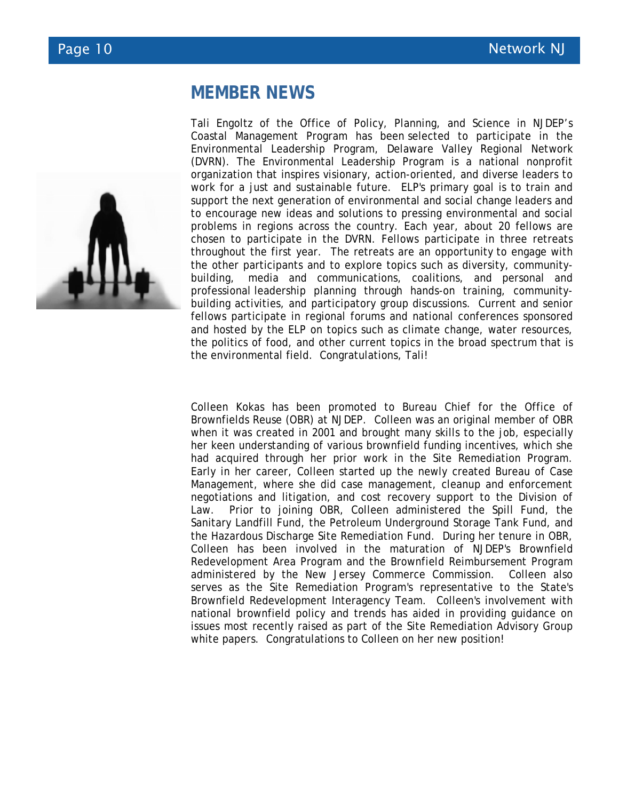#### **MEMBER NEWS**



Tali Engoltz of the Office of Policy, Planning, and Science in NJDEP's Coastal Management Program has been selected to participate in the Environmental Leadership Program, Delaware Valley Regional Network (DVRN). The Environmental Leadership Program is a national nonprofit organization that inspires visionary, action-oriented, and diverse leaders to work for a just and sustainable future. ELP's primary goal is to train and support the next generation of environmental and social change leaders and to encourage new ideas and solutions to pressing environmental and social problems in regions across the country. Each year, about 20 fellows are chosen to participate in the DVRN. Fellows participate in three retreats throughout the first year. The retreats are an opportunity to engage with the other participants and to explore topics such as diversity, communitybuilding, media and communications, coalitions, and personal and professional leadership planning through hands-on training, communitybuilding activities, and participatory group discussions. Current and senior fellows participate in regional forums and national conferences sponsored and hosted by the ELP on topics such as climate change, water resources, the politics of food, and other current topics in the broad spectrum that is the environmental field. Congratulations, Tali!

Colleen Kokas has been promoted to Bureau Chief for the Office of Brownfields Reuse (OBR) at NJDEP. Colleen was an original member of OBR when it was created in 2001 and brought many skills to the job, especially her keen understanding of various brownfield funding incentives, which she had acquired through her prior work in the Site Remediation Program. Early in her career, Colleen started up the newly created Bureau of Case Management, where she did case management, cleanup and enforcement negotiations and litigation, and cost recovery support to the Division of Law. Prior to joining OBR, Colleen administered the Spill Fund, the Sanitary Landfill Fund, the Petroleum Underground Storage Tank Fund, and the Hazardous Discharge Site Remediation Fund. During her tenure in OBR, Colleen has been involved in the maturation of NJDEP's Brownfield Redevelopment Area Program and the Brownfield Reimbursement Program administered by the New Jersey Commerce Commission. Colleen also serves as the Site Remediation Program's representative to the State's Brownfield Redevelopment Interagency Team. Colleen's involvement with national brownfield policy and trends has aided in providing guidance on issues most recently raised as part of the Site Remediation Advisory Group white papers. Congratulations to Colleen on her new position!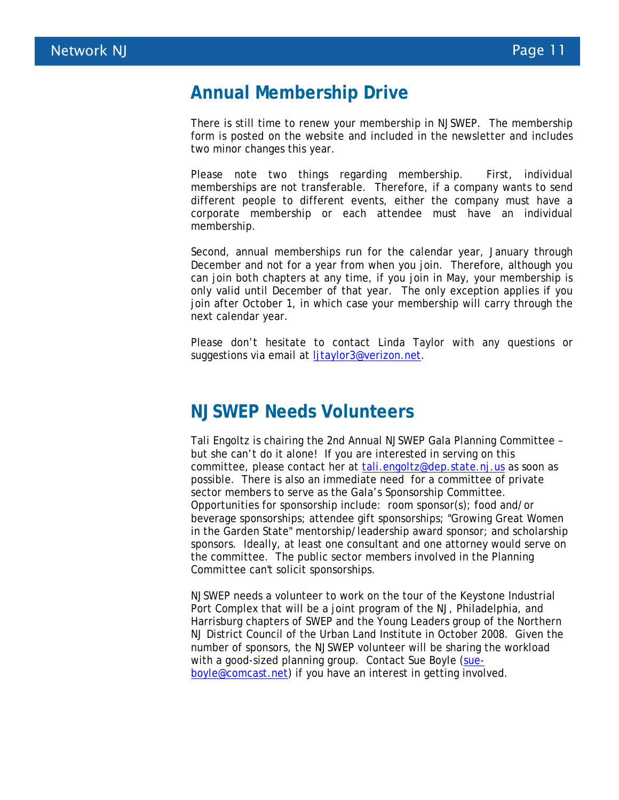#### **Annual Membership Drive**

There is still time to renew your membership in NJSWEP. The membership form is posted on the website and included in the newsletter and includes two minor changes this year.

Please note two things regarding membership. First, individual memberships are not transferable. Therefore, if a company wants to send different people to different events, either the company must have a corporate membership or each attendee must have an individual membership.

Second, annual memberships run for the calendar year, January through December and not for a year from when you join. Therefore, although you can join both chapters at any time, if you join in May, your membership is only valid until December of that year. The only exception applies if you join after October 1, in which case your membership will carry through the next calendar year.

Please don't hesitate to contact Linda Taylor with any questions or suggestions via email at ljtaylor3@verizon.net.

#### **NJSWEP Needs Volunteers**

Tali Engoltz is chairing the 2nd Annual NJSWEP Gala Planning Committee – but she can't do it alone! If you are interested in serving on this committee, please contact her at tali.engoltz@dep.state.nj.us as soon as possible. There is also an immediate need for a committee of private sector members to serve as the Gala's Sponsorship Committee. Opportunities for sponsorship include: room sponsor(s); food and/or beverage sponsorships; attendee gift sponsorships; "Growing Great Women in the Garden State" mentorship/leadership award sponsor; and scholarship sponsors. Ideally, at least one consultant and one attorney would serve on the committee. The public sector members involved in the Planning Committee can't solicit sponsorships.

NJSWEP needs a volunteer to work on the tour of the Keystone Industrial Port Complex that will be a joint program of the NJ, Philadelphia, and Harrisburg chapters of SWEP and the Young Leaders group of the Northern NJ District Council of the Urban Land Institute in October 2008. Given the number of sponsors, the NJSWEP volunteer will be sharing the workload with a good-sized planning group. Contact Sue Boyle (sueboyle@comcast.net) if you have an interest in getting involved.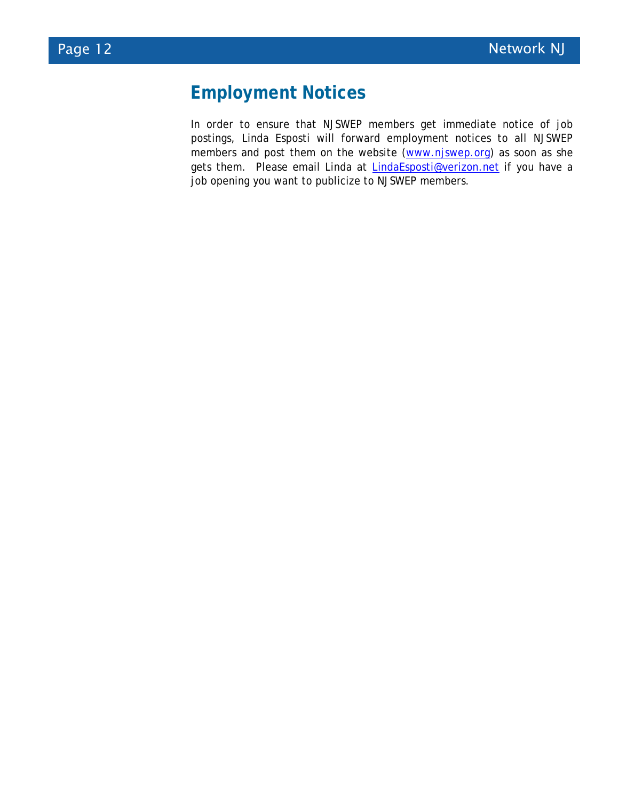## **Employment Notices**

In order to ensure that NJSWEP members get immediate notice of job postings, Linda Esposti will forward employment notices to all NJSWEP members and post them on the website (www.njswep.org) as soon as she gets them. Please email Linda at LindaEsposti@verizon.net if you have a job opening you want to publicize to NJSWEP members.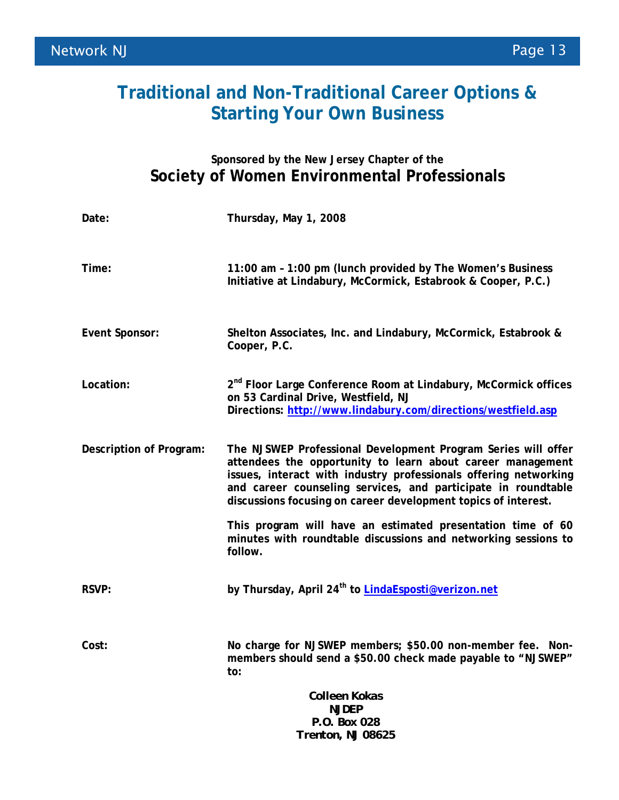## **Traditional and Non-Traditional Career Options & Starting Your Own Business**

#### **Sponsored by the New Jersey Chapter of the Society of Women Environmental Professionals**

| Date:                   | Thursday, May 1, 2008                                                                                                                                                                                                                                                                                                              |
|-------------------------|------------------------------------------------------------------------------------------------------------------------------------------------------------------------------------------------------------------------------------------------------------------------------------------------------------------------------------|
| Time:                   | 11:00 am - 1:00 pm (lunch provided by The Women's Business<br>Initiative at Lindabury, McCormick, Estabrook & Cooper, P.C.)                                                                                                                                                                                                        |
| <b>Event Sponsor:</b>   | Shelton Associates, Inc. and Lindabury, McCormick, Estabrook &<br>Cooper, P.C.                                                                                                                                                                                                                                                     |
| Location:               | 2 <sup>nd</sup> Floor Large Conference Room at Lindabury, McCormick offices<br>on 53 Cardinal Drive, Westfield, NJ<br>Directions: http://www.lindabury.com/directions/westfield.asp                                                                                                                                                |
| Description of Program: | The NJSWEP Professional Development Program Series will offer<br>attendees the opportunity to learn about career management<br>issues, interact with industry professionals offering networking<br>and career counseling services, and participate in roundtable<br>discussions focusing on career development topics of interest. |
|                         | This program will have an estimated presentation time of 60<br>minutes with roundtable discussions and networking sessions to<br>follow.                                                                                                                                                                                           |
| <b>RSVP:</b>            | by Thursday, April 24 <sup>th</sup> to LindaEsposti@verizon.net                                                                                                                                                                                                                                                                    |
| Cost:                   | No charge for NJSWEP members; \$50.00 non-member fee. Non-<br>members should send a \$50.00 check made payable to "NJSWEP"<br>to:                                                                                                                                                                                                  |
|                         | Colleen Kokas                                                                                                                                                                                                                                                                                                                      |
|                         | <b>NJDEP</b>                                                                                                                                                                                                                                                                                                                       |
|                         | P.O. Box 028<br>Trenton, NJ 08625                                                                                                                                                                                                                                                                                                  |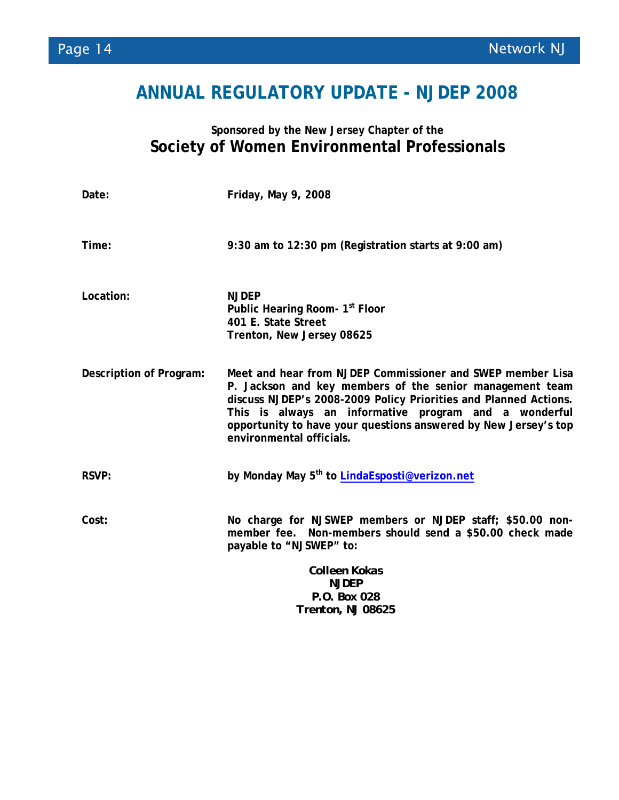## **ANNUAL REGULATORY UPDATE - NJDEP 2008**

#### **Sponsored by the New Jersey Chapter of the Society of Women Environmental Professionals**

| Date:                   | Friday, May 9, 2008                                                                                                                                                                                                                                                                                                                                |
|-------------------------|----------------------------------------------------------------------------------------------------------------------------------------------------------------------------------------------------------------------------------------------------------------------------------------------------------------------------------------------------|
| Time:                   | 9:30 am to 12:30 pm (Registration starts at 9:00 am)                                                                                                                                                                                                                                                                                               |
| Location:               | <b>NJDEP</b><br>Public Hearing Room- 1 <sup>st</sup> Floor<br>401 E. State Street<br>Trenton, New Jersey 08625                                                                                                                                                                                                                                     |
| Description of Program: | Meet and hear from NJDEP Commissioner and SWEP member Lisa<br>P. Jackson and key members of the senior management team<br>discuss NJDEP's 2008-2009 Policy Priorities and Planned Actions.<br>This is always an informative program and a wonderful<br>opportunity to have your questions answered by New Jersey's top<br>environmental officials. |
| <b>RSVP:</b>            | by Monday May 5 <sup>th</sup> to <b>LindaEsposti@verizon.net</b>                                                                                                                                                                                                                                                                                   |
| Cost:                   | No charge for NJSWEP members or NJDEP staff; \$50.00 non-<br>member fee. Non-members should send a \$50.00 check made<br>payable to "NJSWEP" to:                                                                                                                                                                                                   |
|                         | Colleen Kokas<br><b>NJDEP</b><br>P.O. Box 028<br>Trenton, NJ 08625                                                                                                                                                                                                                                                                                 |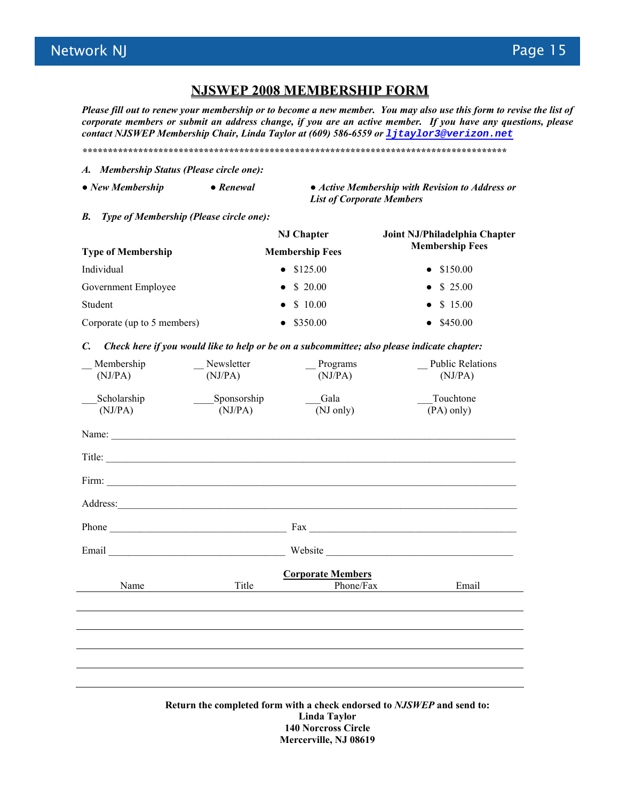#### **NJSWEP 2008 MEMBERSHIP FORM**

*Please fill out to renew your membership or to become a new member. You may also use this form to revise the list of corporate members or submit an address change, if you are an active member. If you have any questions, please contact NJSWEP Membership Chair, Linda Taylor at (609) 586-6559 or ljtaylor3@verizon.net*

*\*\*\*\*\*\*\*\*\*\*\*\*\*\*\*\*\*\*\*\*\*\*\*\*\*\*\*\*\*\*\*\*\*\*\*\*\*\*\*\*\*\*\*\*\*\*\*\*\*\*\*\*\*\*\*\*\*\*\*\*\*\*\*\*\*\*\*\*\*\*\*\*\*\*\*\*\*\*\*\*\*\*\*\** 

- *A. Membership Status (Please circle one):*
- 
- **●** *New Membership ● Renewal ● Active Membership with Revision to Address or List of Corporate Members*
- *B. Type of Membership (Please circle one):*

| <b>NJ Chapter</b>      | Joint NJ/Philadelphia Chapter<br><b>Membership Fees</b> |  |
|------------------------|---------------------------------------------------------|--|
| <b>Membership Fees</b> |                                                         |  |
| $\bullet$ \$125.00     | • $$150.00$                                             |  |
| • \$ 20.00             | • $$25.00$                                              |  |
| • $$10.00$             | • \$ 15.00                                              |  |
| \$350.00               | $\bullet$ \$450.00                                      |  |
|                        |                                                         |  |

#### *C. Check here if you would like to help or be on a subcommittee; also please indicate chapter:*

| Membership<br>(NJ/PA)                                                                  | Newsletter<br>(NJ/PA)  | Programs<br>(NJ/PA)      | <b>Public Relations</b><br>(NJ/PA)                                                                                                                                                                                                                                                                                                                                                                            |
|----------------------------------------------------------------------------------------|------------------------|--------------------------|---------------------------------------------------------------------------------------------------------------------------------------------------------------------------------------------------------------------------------------------------------------------------------------------------------------------------------------------------------------------------------------------------------------|
| Scholarship<br>(NJ/PA)                                                                 | Sponsorship<br>(NJ/PA) | Gala<br>(NJ only)        | Touchtone<br>$(PA)$ only)                                                                                                                                                                                                                                                                                                                                                                                     |
|                                                                                        | Name:                  |                          |                                                                                                                                                                                                                                                                                                                                                                                                               |
|                                                                                        | Title:                 |                          |                                                                                                                                                                                                                                                                                                                                                                                                               |
|                                                                                        |                        |                          |                                                                                                                                                                                                                                                                                                                                                                                                               |
|                                                                                        |                        |                          |                                                                                                                                                                                                                                                                                                                                                                                                               |
|                                                                                        |                        |                          | Phone $\frac{1}{\sqrt{1-\frac{1}{2}}\sqrt{1-\frac{1}{2}}\sqrt{1-\frac{1}{2}}\sqrt{1-\frac{1}{2}}\sqrt{1-\frac{1}{2}}\sqrt{1-\frac{1}{2}}\sqrt{1-\frac{1}{2}}\sqrt{1-\frac{1}{2}}\sqrt{1-\frac{1}{2}}\sqrt{1-\frac{1}{2}}\sqrt{1-\frac{1}{2}}\sqrt{1-\frac{1}{2}}\sqrt{1-\frac{1}{2}}\sqrt{1-\frac{1}{2}}\sqrt{1-\frac{1}{2}}\sqrt{1-\frac{1}{2}}\sqrt{1-\frac{1}{2}}\sqrt{1-\frac{1}{2}}\sqrt{1-\frac{1}{2}}$ |
|                                                                                        |                        |                          |                                                                                                                                                                                                                                                                                                                                                                                                               |
|                                                                                        |                        | <b>Corporate Members</b> |                                                                                                                                                                                                                                                                                                                                                                                                               |
| Name                                                                                   | Title                  | Phone/Fax                | Email                                                                                                                                                                                                                                                                                                                                                                                                         |
|                                                                                        |                        |                          |                                                                                                                                                                                                                                                                                                                                                                                                               |
|                                                                                        |                        |                          |                                                                                                                                                                                                                                                                                                                                                                                                               |
|                                                                                        |                        |                          |                                                                                                                                                                                                                                                                                                                                                                                                               |
|                                                                                        |                        |                          |                                                                                                                                                                                                                                                                                                                                                                                                               |
| Return the completed form with a check endorsed to NJSWEP and send to:<br>Linda Taylor |                        |                          |                                                                                                                                                                                                                                                                                                                                                                                                               |

**140 Norcross Circle Mercerville, NJ 08619**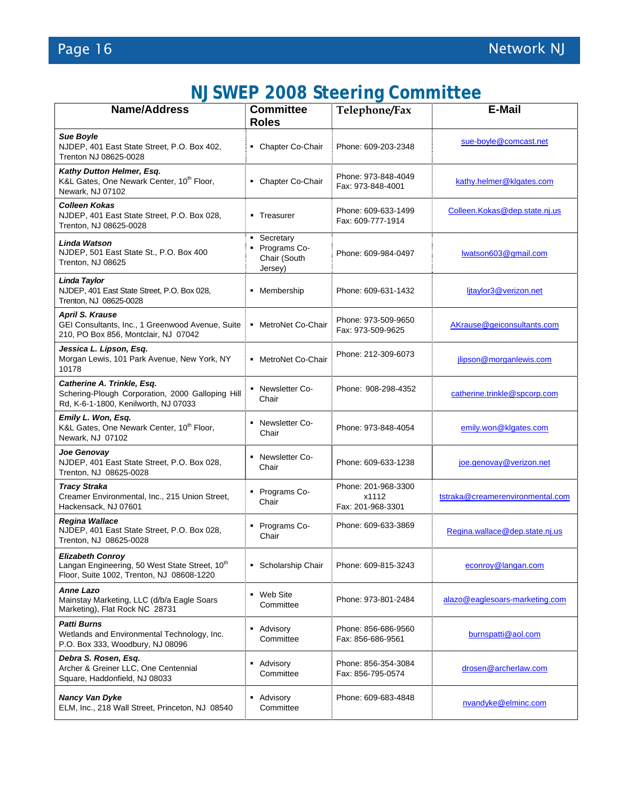| <b>NJSWEP 2008 Steering Committee</b> |  |  |
|---------------------------------------|--|--|
|---------------------------------------|--|--|

| <b>Name/Address</b>                                                                                                                | <b>Committee</b><br><b>Roles</b>                       | Telephone/Fax                                     | <b>E-Mail</b>                    |
|------------------------------------------------------------------------------------------------------------------------------------|--------------------------------------------------------|---------------------------------------------------|----------------------------------|
| <b>Sue Boyle</b><br>NJDEP, 401 East State Street, P.O. Box 402,<br>Trenton NJ 08625-0028                                           | • Chapter Co-Chair                                     | Phone: 609-203-2348                               | sue-boyle@comcast.net            |
| Kathy Dutton Helmer, Esq.<br>K&L Gates, One Newark Center, 10 <sup>th</sup> Floor,<br>Newark, NJ 07102                             | • Chapter Co-Chair                                     | Phone: 973-848-4049<br>Fax: 973-848-4001          | kathy.helmer@klgates.com         |
| <b>Colleen Kokas</b><br>NJDEP, 401 East State Street, P.O. Box 028,<br>Trenton, NJ 08625-0028                                      | • Treasurer                                            | Phone: 609-633-1499<br>Fax: 609-777-1914          | Colleen.Kokas@dep.state.nj.us    |
| <b>Linda Watson</b><br>NJDEP, 501 East State St., P.O. Box 400<br>Trenton, NJ 08625                                                | • Secretary<br>Programs Co-<br>Chair (South<br>Jersey) | Phone: 609-984-0497                               | lwatson603@gmail.com             |
| Linda Taylor<br>NJDEP, 401 East State Street, P.O. Box 028,<br>Trenton, NJ 08625-0028                                              | • Membership                                           | Phone: 609-631-1432                               | litaylor3@verizon.net            |
| <b>April S. Krause</b><br>GEI Consultants, Inc., 1 Greenwood Avenue, Suite<br>210, PO Box 856, Montclair, NJ 07042                 | • MetroNet Co-Chair                                    | Phone: 973-509-9650<br>Fax: 973-509-9625          | AKrause@geiconsultants.com       |
| Jessica L. Lipson, Esq.<br>Morgan Lewis, 101 Park Avenue, New York, NY<br>10178                                                    | • MetroNet Co-Chair                                    | Phone: 212-309-6073                               | jlipson@morganlewis.com          |
| Catherine A. Trinkle, Esq.<br>Schering-Plough Corporation, 2000 Galloping Hill<br>Rd, K-6-1-1800, Kenilworth, NJ 07033             | • Newsletter Co-<br>Chair                              | Phone: 908-298-4352                               | catherine.trinkle@spcorp.com     |
| Emily L. Won, Esq.<br>K&L Gates, One Newark Center, 10 <sup>th</sup> Floor,<br>Newark, NJ 07102                                    | - Newsletter Co-<br>Chair                              | Phone: 973-848-4054                               | emily.won@klgates.com            |
| Joe Genovay<br>NJDEP, 401 East State Street, P.O. Box 028,<br>Trenton, NJ 08625-0028                                               | Newsletter Co-<br>Chair                                | Phone: 609-633-1238                               | joe.genovay@verizon.net          |
| <b>Tracy Straka</b><br>Creamer Environmental, Inc., 215 Union Street,<br>Hackensack, NJ 07601                                      | • Programs Co-<br>Chair                                | Phone: 201-968-3300<br>x1112<br>Fax: 201-968-3301 | tstraka@creamerenvironmental.com |
| <b>Regina Wallace</b><br>NJDEP, 401 East State Street, P.O. Box 028,<br>Trenton, NJ 08625-0028                                     | Programs Co-<br>Chair                                  | Phone: 609-633-3869                               | Regina.wallace@dep.state.nj.us   |
| <b>Elizabeth Conroy</b><br>Langan Engineering, 50 West State Street, 10 <sup>th</sup><br>Floor, Suite 1002, Trenton, NJ 08608-1220 | • Scholarship Chair                                    | Phone: 609-815-3243                               | econroy@langan.com               |
| <b>Anne Lazo</b><br>Mainstay Marketing, LLC (d/b/a Eagle Soars<br>Marketing), Flat Rock NC 28731                                   | Web Site<br>٠<br>Committee                             | Phone: 973-801-2484                               | alazo@eaglesoars-marketing.com   |
| <b>Patti Burns</b><br>Wetlands and Environmental Technology, Inc.<br>P.O. Box 333, Woodbury, NJ 08096                              | Advisory<br>٠<br>Committee                             | Phone: 856-686-9560<br>Fax: 856-686-9561          | burnspatti@aol.com               |
| Debra S. Rosen, Esg.<br>Archer & Greiner LLC, One Centennial<br>Square, Haddonfield, NJ 08033                                      | Advisory<br>Committee                                  | Phone: 856-354-3084<br>Fax: 856-795-0574          | drosen@archerlaw.com             |
| Nancy Van Dyke<br>ELM, Inc., 218 Wall Street, Princeton, NJ 08540                                                                  | Advisory<br>٠<br>Committee                             | Phone: 609-683-4848                               | nvandyke@elminc.com              |